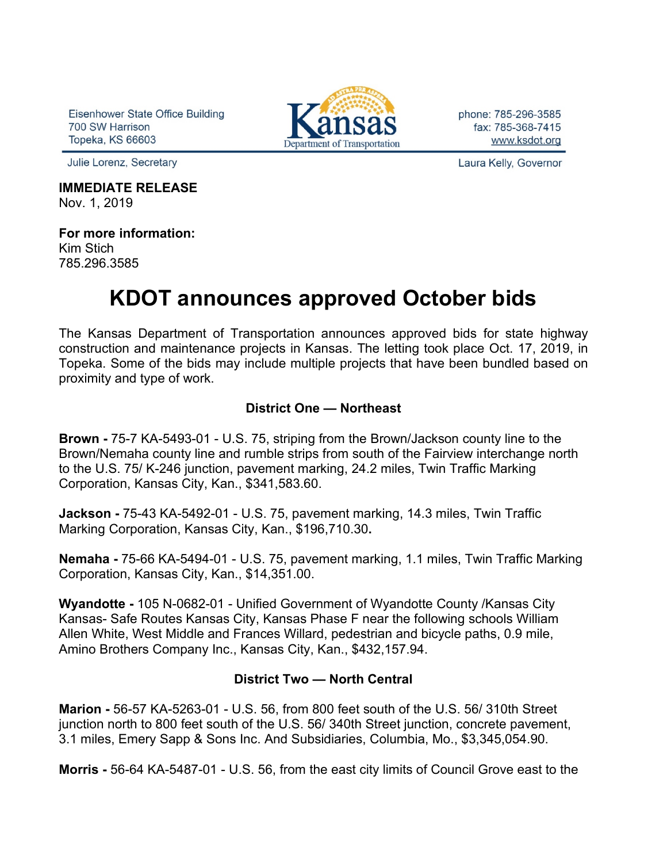Eisenhower State Office Building 700 SW Harrison **Topeka, KS 66603** 

Julie Lorenz, Secretary

#### **IMMEDIATE RELEASE** Nov. 1, 2019

**For more information:** Kim Stich 785.296.3585

# **KDOT announces approved October bids**

The Kansas Department of Transportation announces approved bids for state highway construction and maintenance projects in Kansas. The letting took place Oct. 17, 2019, in Topeka. Some of the bids may include multiple projects that have been bundled based on proximity and type of work.

### **District One — Northeast**

**Brown -** 75-7 KA-5493-01 - U.S. 75, striping from the Brown/Jackson county line to the Brown/Nemaha county line and rumble strips from south of the Fairview interchange north to the U.S. 75/ K-246 junction, pavement marking, 24.2 miles, Twin Traffic Marking Corporation, Kansas City, Kan., \$341,583.60.

**Jackson -** 75-43 KA-5492-01 - U.S. 75, pavement marking, 14.3 miles, Twin Traffic Marking Corporation, Kansas City, Kan., \$196,710.30**.**

**Nemaha -** 75-66 KA-5494-01 - U.S. 75, pavement marking, 1.1 miles, Twin Traffic Marking Corporation, Kansas City, Kan., \$14,351.00.

**Wyandotte -** 105 N-0682-01 - Unified Government of Wyandotte County /Kansas City Kansas- Safe Routes Kansas City, Kansas Phase F near the following schools William Allen White, West Middle and Frances Willard, pedestrian and bicycle paths, 0.9 mile, Amino Brothers Company Inc., Kansas City, Kan., \$432,157.94.

#### **District Two — North Central**

**Marion -** 56-57 KA-5263-01 - U.S. 56, from 800 feet south of the U.S. 56/ 310th Street junction north to 800 feet south of the U.S. 56/ 340th Street junction, concrete pavement, 3.1 miles, Emery Sapp & Sons Inc. And Subsidiaries, Columbia, Mo., \$3,345,054.90.

**Morris -** 56-64 KA-5487-01 - U.S. 56, from the east city limits of Council Grove east to the



phone: 785-296-3585 fax: 785-368-7415 www.ksdot.org

Laura Kelly, Governor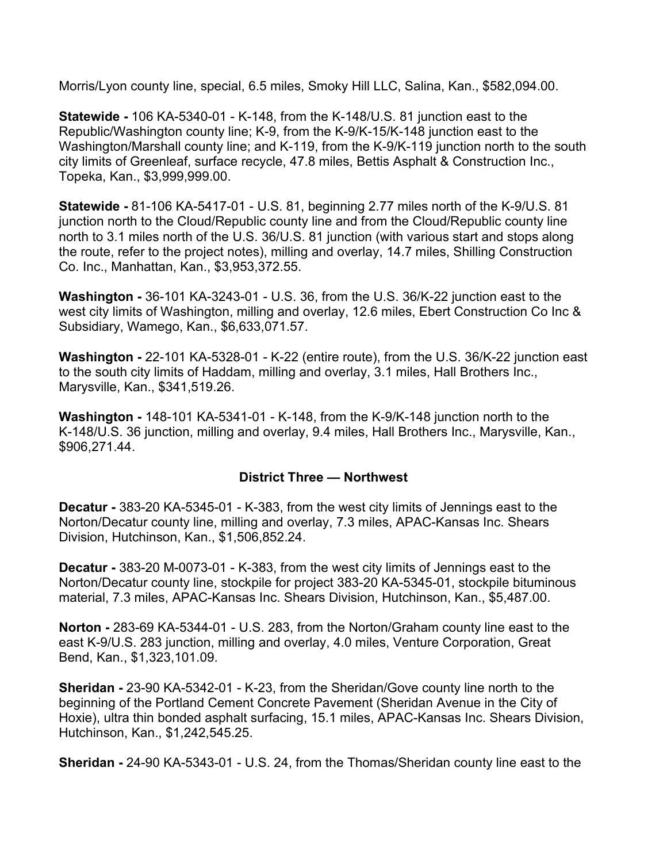Morris/Lyon county line, special, 6.5 miles, Smoky Hill LLC, Salina, Kan., \$582,094.00.

**Statewide -** 106 KA-5340-01 - K-148, from the K-148/U.S. 81 junction east to the Republic/Washington county line; K-9, from the K-9/K-15/K-148 junction east to the Washington/Marshall county line; and K-119, from the K-9/K-119 junction north to the south city limits of Greenleaf, surface recycle, 47.8 miles, Bettis Asphalt & Construction Inc., Topeka, Kan., \$3,999,999.00.

**Statewide -** 81-106 KA-5417-01 - U.S. 81, beginning 2.77 miles north of the K-9/U.S. 81 junction north to the Cloud/Republic county line and from the Cloud/Republic county line north to 3.1 miles north of the U.S. 36/U.S. 81 junction (with various start and stops along the route, refer to the project notes), milling and overlay, 14.7 miles, Shilling Construction Co. Inc., Manhattan, Kan., \$3,953,372.55.

**Washington -** 36-101 KA-3243-01 - U.S. 36, from the U.S. 36/K-22 junction east to the west city limits of Washington, milling and overlay, 12.6 miles, Ebert Construction Co Inc & Subsidiary, Wamego, Kan., \$6,633,071.57.

**Washington -** 22-101 KA-5328-01 - K-22 (entire route), from the U.S. 36/K-22 junction east to the south city limits of Haddam, milling and overlay, 3.1 miles, Hall Brothers Inc., Marysville, Kan., \$341,519.26.

**Washington -** 148-101 KA-5341-01 - K-148, from the K-9/K-148 junction north to the K-148/U.S. 36 junction, milling and overlay, 9.4 miles, Hall Brothers Inc., Marysville, Kan., \$906,271.44.

#### **District Three — Northwest**

**Decatur -** 383-20 KA-5345-01 - K-383, from the west city limits of Jennings east to the Norton/Decatur county line, milling and overlay, 7.3 miles, APAC-Kansas Inc. Shears Division, Hutchinson, Kan., \$1,506,852.24.

**Decatur -** 383-20 M-0073-01 - K-383, from the west city limits of Jennings east to the Norton/Decatur county line, stockpile for project 383-20 KA-5345-01, stockpile bituminous material, 7.3 miles, APAC-Kansas Inc. Shears Division, Hutchinson, Kan., \$5,487.00.

**Norton -** 283-69 KA-5344-01 - U.S. 283, from the Norton/Graham county line east to the east K-9/U.S. 283 junction, milling and overlay, 4.0 miles, Venture Corporation, Great Bend, Kan., \$1,323,101.09.

**Sheridan -** 23-90 KA-5342-01 - K-23, from the Sheridan/Gove county line north to the beginning of the Portland Cement Concrete Pavement (Sheridan Avenue in the City of Hoxie), ultra thin bonded asphalt surfacing, 15.1 miles, APAC-Kansas Inc. Shears Division, Hutchinson, Kan., \$1,242,545.25.

**Sheridan -** 24-90 KA-5343-01 - U.S. 24, from the Thomas/Sheridan county line east to the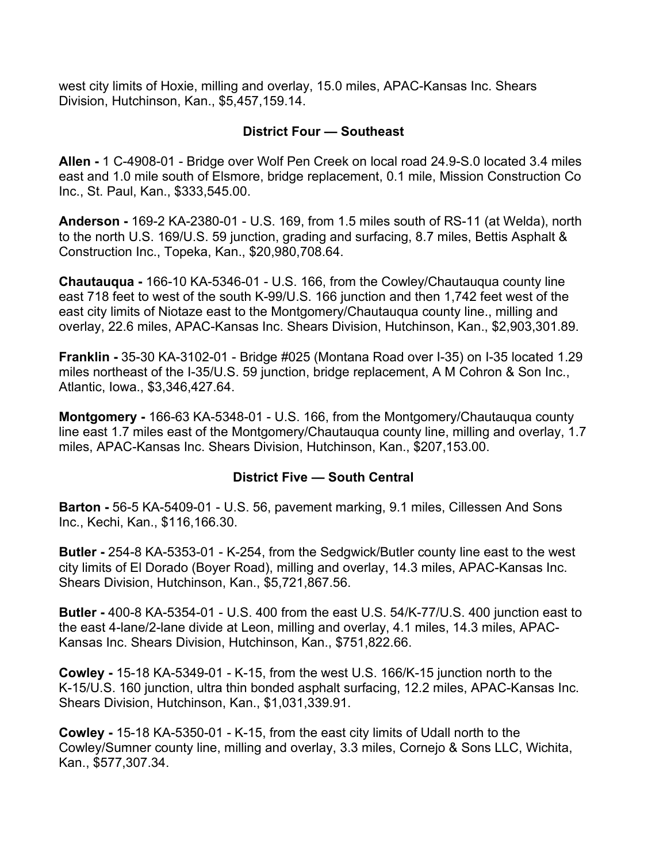west city limits of Hoxie, milling and overlay, 15.0 miles, APAC-Kansas Inc. Shears Division, Hutchinson, Kan., \$5,457,159.14.

#### **District Four — Southeast**

**Allen -** 1 C-4908-01 - Bridge over Wolf Pen Creek on local road 24.9-S.0 located 3.4 miles east and 1.0 mile south of Elsmore, bridge replacement, 0.1 mile, Mission Construction Co Inc., St. Paul, Kan., \$333,545.00.

**Anderson -** 169-2 KA-2380-01 - U.S. 169, from 1.5 miles south of RS-11 (at Welda), north to the north U.S. 169/U.S. 59 junction, grading and surfacing, 8.7 miles, Bettis Asphalt & Construction Inc., Topeka, Kan., \$20,980,708.64.

**Chautauqua -** 166-10 KA-5346-01 - U.S. 166, from the Cowley/Chautauqua county line east 718 feet to west of the south K-99/U.S. 166 junction and then 1,742 feet west of the east city limits of Niotaze east to the Montgomery/Chautauqua county line., milling and overlay, 22.6 miles, APAC-Kansas Inc. Shears Division, Hutchinson, Kan., \$2,903,301.89.

**Franklin -** 35-30 KA-3102-01 - Bridge #025 (Montana Road over I-35) on I-35 located 1.29 miles northeast of the I-35/U.S. 59 junction, bridge replacement, A M Cohron & Son Inc., Atlantic, Iowa., \$3,346,427.64.

**Montgomery -** 166-63 KA-5348-01 - U.S. 166, from the Montgomery/Chautauqua county line east 1.7 miles east of the Montgomery/Chautauqua county line, milling and overlay, 1.7 miles, APAC-Kansas Inc. Shears Division, Hutchinson, Kan., \$207,153.00.

#### **District Five — South Central**

**Barton -** 56-5 KA-5409-01 - U.S. 56, pavement marking, 9.1 miles, Cillessen And Sons Inc., Kechi, Kan., \$116,166.30.

**Butler -** 254-8 KA-5353-01 - K-254, from the Sedgwick/Butler county line east to the west city limits of El Dorado (Boyer Road), milling and overlay, 14.3 miles, APAC-Kansas Inc. Shears Division, Hutchinson, Kan., \$5,721,867.56.

**Butler -** 400-8 KA-5354-01 - U.S. 400 from the east U.S. 54/K-77/U.S. 400 junction east to the east 4-lane/2-lane divide at Leon, milling and overlay, 4.1 miles, 14.3 miles, APAC-Kansas Inc. Shears Division, Hutchinson, Kan., \$751,822.66.

**Cowley -** 15-18 KA-5349-01 - K-15, from the west U.S. 166/K-15 junction north to the K-15/U.S. 160 junction, ultra thin bonded asphalt surfacing, 12.2 miles, APAC-Kansas Inc. Shears Division, Hutchinson, Kan., \$1,031,339.91.

**Cowley -** 15-18 KA-5350-01 - K-15, from the east city limits of Udall north to the Cowley/Sumner county line, milling and overlay, 3.3 miles, Cornejo & Sons LLC, Wichita, Kan., \$577,307.34.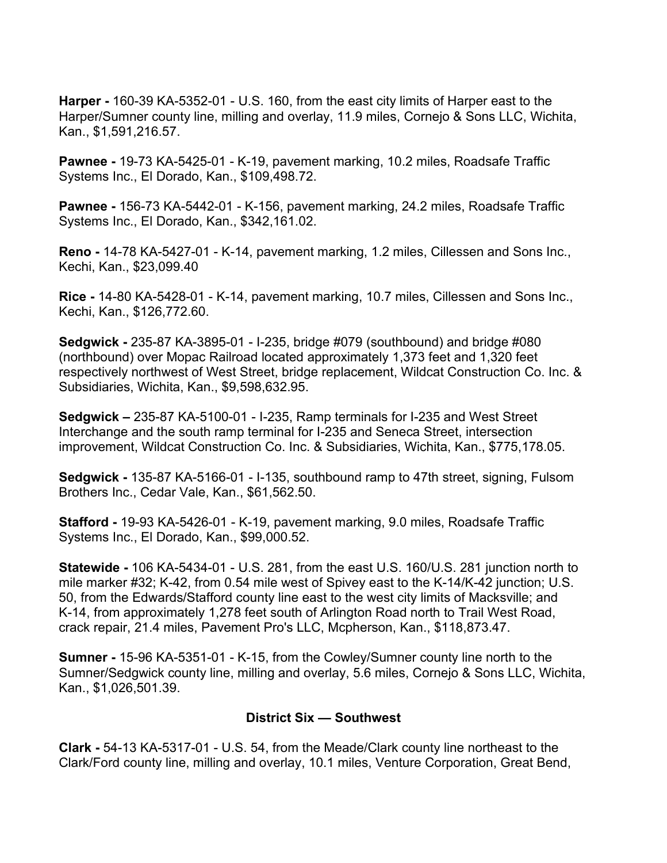**Harper -** 160-39 KA-5352-01 - U.S. 160, from the east city limits of Harper east to the Harper/Sumner county line, milling and overlay, 11.9 miles, Cornejo & Sons LLC, Wichita, Kan., \$1,591,216.57.

**Pawnee -** 19-73 KA-5425-01 - K-19, pavement marking, 10.2 miles, Roadsafe Traffic Systems Inc., El Dorado, Kan., \$109,498.72.

**Pawnee -** 156-73 KA-5442-01 - K-156, pavement marking, 24.2 miles, Roadsafe Traffic Systems Inc., El Dorado, Kan., \$342,161.02.

**Reno -** 14-78 KA-5427-01 - K-14, pavement marking, 1.2 miles, Cillessen and Sons Inc., Kechi, Kan., \$23,099.40

**Rice -** 14-80 KA-5428-01 - K-14, pavement marking, 10.7 miles, Cillessen and Sons Inc., Kechi, Kan., \$126,772.60.

**Sedgwick -** 235-87 KA-3895-01 - I-235, bridge #079 (southbound) and bridge #080 (northbound) over Mopac Railroad located approximately 1,373 feet and 1,320 feet respectively northwest of West Street, bridge replacement, Wildcat Construction Co. Inc. & Subsidiaries, Wichita, Kan., \$9,598,632.95.

**Sedgwick –** 235-87 KA-5100-01 - I-235, Ramp terminals for I-235 and West Street Interchange and the south ramp terminal for I-235 and Seneca Street, intersection improvement, Wildcat Construction Co. Inc. & Subsidiaries, Wichita, Kan., \$775,178.05.

**Sedgwick -** 135-87 KA-5166-01 - I-135, southbound ramp to 47th street, signing, Fulsom Brothers Inc., Cedar Vale, Kan., \$61,562.50.

**Stafford -** 19-93 KA-5426-01 - K-19, pavement marking, 9.0 miles, Roadsafe Traffic Systems Inc., El Dorado, Kan., \$99,000.52.

**Statewide -** 106 KA-5434-01 - U.S. 281, from the east U.S. 160/U.S. 281 junction north to mile marker #32; K-42, from 0.54 mile west of Spivey east to the K-14/K-42 junction; U.S. 50, from the Edwards/Stafford county line east to the west city limits of Macksville; and K-14, from approximately 1,278 feet south of Arlington Road north to Trail West Road, crack repair, 21.4 miles, Pavement Pro's LLC, Mcpherson, Kan., \$118,873.47.

**Sumner -** 15-96 KA-5351-01 - K-15, from the Cowley/Sumner county line north to the Sumner/Sedgwick county line, milling and overlay, 5.6 miles, Cornejo & Sons LLC, Wichita, Kan., \$1,026,501.39.

## **District Six — Southwest**

**Clark -** 54-13 KA-5317-01 - U.S. 54, from the Meade/Clark county line northeast to the Clark/Ford county line, milling and overlay, 10.1 miles, Venture Corporation, Great Bend,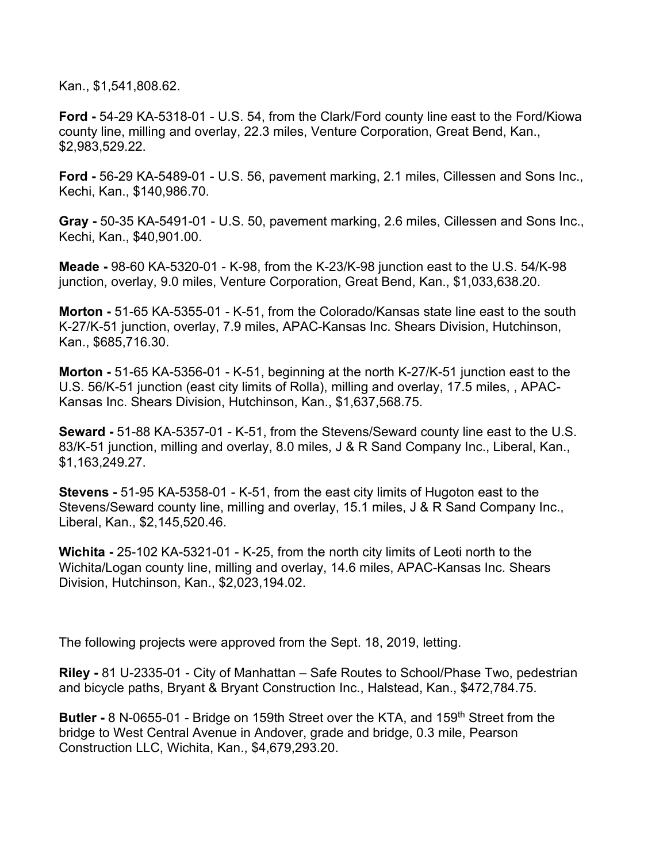Kan., \$1,541,808.62.

**Ford -** 54-29 KA-5318-01 - U.S. 54, from the Clark/Ford county line east to the Ford/Kiowa county line, milling and overlay, 22.3 miles, Venture Corporation, Great Bend, Kan., \$2,983,529.22.

**Ford -** 56-29 KA-5489-01 - U.S. 56, pavement marking, 2.1 miles, Cillessen and Sons Inc., Kechi, Kan., \$140,986.70.

**Gray -** 50-35 KA-5491-01 - U.S. 50, pavement marking, 2.6 miles, Cillessen and Sons Inc., Kechi, Kan., \$40,901.00.

**Meade -** 98-60 KA-5320-01 - K-98, from the K-23/K-98 junction east to the U.S. 54/K-98 junction, overlay, 9.0 miles, Venture Corporation, Great Bend, Kan., \$1,033,638.20.

**Morton -** 51-65 KA-5355-01 - K-51, from the Colorado/Kansas state line east to the south K-27/K-51 junction, overlay, 7.9 miles, APAC-Kansas Inc. Shears Division, Hutchinson, Kan., \$685,716.30.

**Morton -** 51-65 KA-5356-01 - K-51, beginning at the north K-27/K-51 junction east to the U.S. 56/K-51 junction (east city limits of Rolla), milling and overlay, 17.5 miles, , APAC-Kansas Inc. Shears Division, Hutchinson, Kan., \$1,637,568.75.

**Seward -** 51-88 KA-5357-01 - K-51, from the Stevens/Seward county line east to the U.S. 83/K-51 junction, milling and overlay, 8.0 miles, J & R Sand Company Inc., Liberal, Kan., \$1,163,249.27.

**Stevens -** 51-95 KA-5358-01 - K-51, from the east city limits of Hugoton east to the Stevens/Seward county line, milling and overlay, 15.1 miles, J & R Sand Company Inc., Liberal, Kan., \$2,145,520.46.

**Wichita -** 25-102 KA-5321-01 - K-25, from the north city limits of Leoti north to the Wichita/Logan county line, milling and overlay, 14.6 miles, APAC-Kansas Inc. Shears Division, Hutchinson, Kan., \$2,023,194.02.

The following projects were approved from the Sept. 18, 2019, letting.

**Riley -** 81 U-2335-01 - City of Manhattan – Safe Routes to School/Phase Two, pedestrian and bicycle paths, Bryant & Bryant Construction Inc., Halstead, Kan., \$472,784.75.

**Butler -** 8 N-0655-01 - Bridge on 159th Street over the KTA, and 159<sup>th</sup> Street from the bridge to West Central Avenue in Andover, grade and bridge, 0.3 mile, Pearson Construction LLC, Wichita, Kan., \$4,679,293.20.